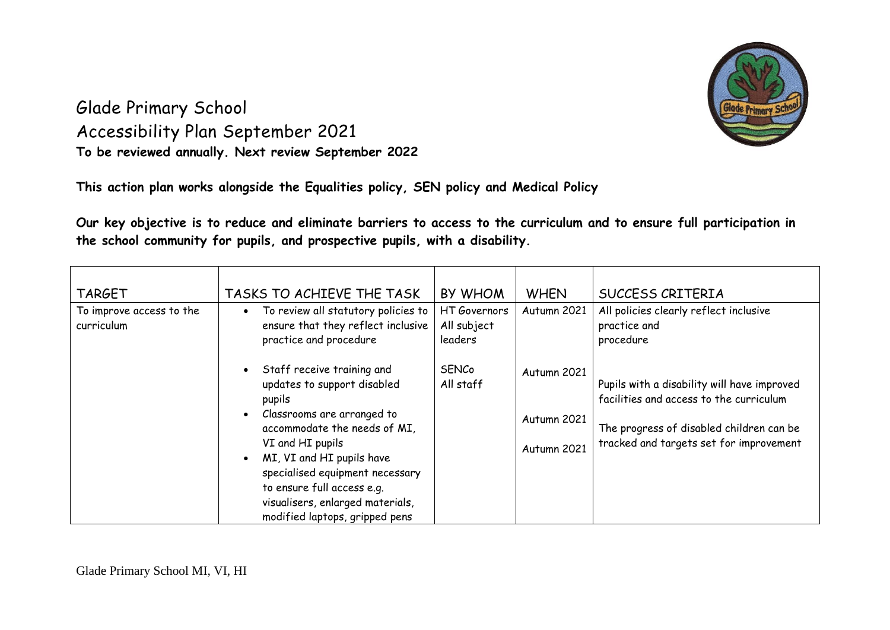

## Glade Primary School Accessibility Plan September 2021 **To be reviewed annually. Next review September 2022**

**This action plan works alongside the Equalities policy, SEN policy and Medical Policy**

**Our key objective is to reduce and eliminate barriers to access to the curriculum and to ensure full participation in the school community for pupils, and prospective pupils, with a disability.**

| <b>TARGET</b><br>To improve access to the<br>curriculum | TASKS TO ACHIEVE THE TASK<br>To review all statutory policies to<br>ensure that they reflect inclusive<br>practice and procedure                                                                                                                                                                                                       | <b>BY WHOM</b><br>HT Governors<br>All subject<br>leaders | <b>WHEN</b><br>Autumn 2021                | <b>SUCCESS CRITERIA</b><br>All policies clearly reflect inclusive<br>practice and<br>procedure                                                                                |
|---------------------------------------------------------|----------------------------------------------------------------------------------------------------------------------------------------------------------------------------------------------------------------------------------------------------------------------------------------------------------------------------------------|----------------------------------------------------------|-------------------------------------------|-------------------------------------------------------------------------------------------------------------------------------------------------------------------------------|
|                                                         | Staff receive training and<br>updates to support disabled<br>pupils<br>Classrooms are arranged to<br>accommodate the needs of MI,<br>VI and HI pupils<br>MI, VI and HI pupils have<br>$\bullet$<br>specialised equipment necessary<br>to ensure full access e.g.<br>visualisers, enlarged materials,<br>modified laptops, gripped pens | <b>SENCo</b><br>All staff                                | Autumn 2021<br>Autumn 2021<br>Autumn 2021 | Pupils with a disability will have improved<br>facilities and access to the curriculum<br>The progress of disabled children can be<br>tracked and targets set for improvement |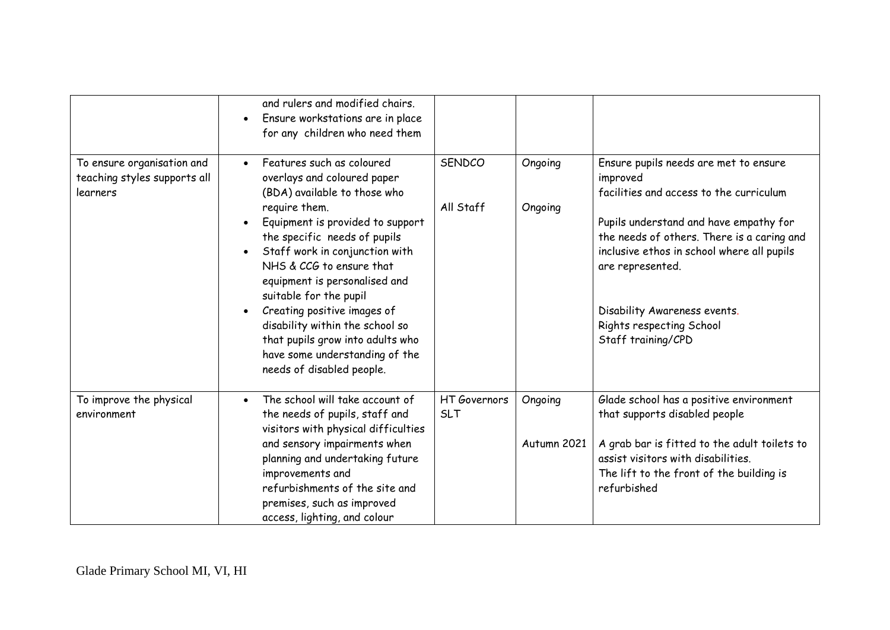|                                                                        | and rulers and modified chairs.<br>Ensure workstations are in place<br>$\bullet$<br>for any children who need them                                                                                                                                                                                                                                                                                                                                                                                                              |                            |                        |                                                                                                                                                                                                                                                                                                                                          |
|------------------------------------------------------------------------|---------------------------------------------------------------------------------------------------------------------------------------------------------------------------------------------------------------------------------------------------------------------------------------------------------------------------------------------------------------------------------------------------------------------------------------------------------------------------------------------------------------------------------|----------------------------|------------------------|------------------------------------------------------------------------------------------------------------------------------------------------------------------------------------------------------------------------------------------------------------------------------------------------------------------------------------------|
| To ensure organisation and<br>teaching styles supports all<br>learners | Features such as coloured<br>$\bullet$<br>overlays and coloured paper<br>(BDA) available to those who<br>require them.<br>Equipment is provided to support<br>$\bullet$<br>the specific needs of pupils<br>Staff work in conjunction with<br>$\bullet$<br>NHS & CCG to ensure that<br>equipment is personalised and<br>suitable for the pupil<br>Creating positive images of<br>$\bullet$<br>disability within the school so<br>that pupils grow into adults who<br>have some understanding of the<br>needs of disabled people. | <b>SENDCO</b><br>All Staff | Ongoing<br>Ongoing     | Ensure pupils needs are met to ensure<br>improved<br>facilities and access to the curriculum<br>Pupils understand and have empathy for<br>the needs of others. There is a caring and<br>inclusive ethos in school where all pupils<br>are represented.<br>Disability Awareness events.<br>Rights respecting School<br>Staff training/CPD |
| To improve the physical<br>environment                                 | The school will take account of<br>the needs of pupils, staff and<br>visitors with physical difficulties<br>and sensory impairments when<br>planning and undertaking future<br>improvements and<br>refurbishments of the site and<br>premises, such as improved<br>access, lighting, and colour                                                                                                                                                                                                                                 | HT Governors<br><b>SLT</b> | Ongoing<br>Autumn 2021 | Glade school has a positive environment<br>that supports disabled people<br>A grab bar is fitted to the adult toilets to<br>assist visitors with disabilities.<br>The lift to the front of the building is<br>refurbished                                                                                                                |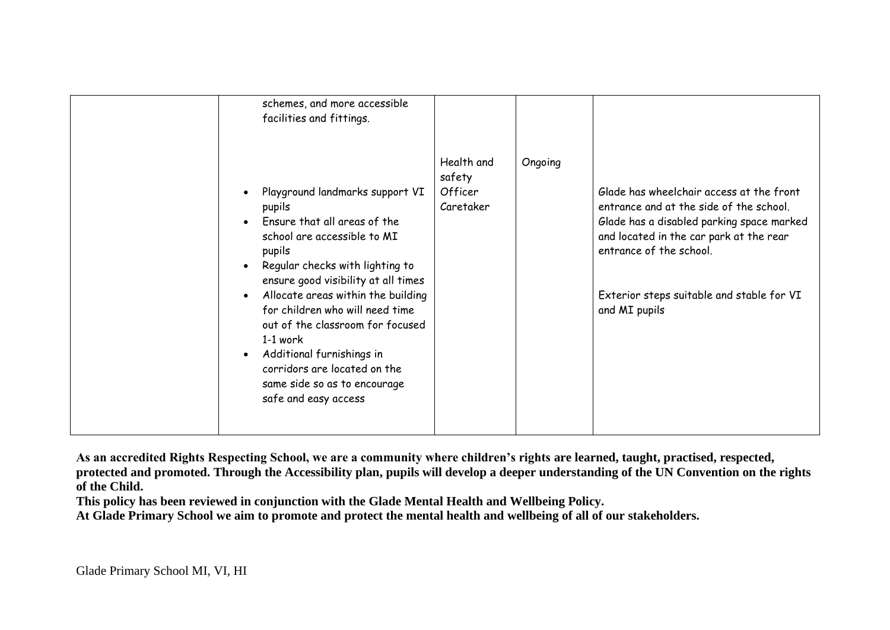| schemes, and more accessible<br>facilities and fittings.<br>Playground landmarks support VI<br>pupils<br>Ensure that all areas of the<br>$\bullet$<br>school are accessible to MI<br>pupils<br>Regular checks with lighting to<br>$\bullet$<br>ensure good visibility at all times | Health and<br>safety<br>Officer<br>Caretaker | Ongoing | Glade has wheelchair access at the front<br>entrance and at the side of the school.<br>Glade has a disabled parking space marked<br>and located in the car park at the rear<br>entrance of the school. |
|------------------------------------------------------------------------------------------------------------------------------------------------------------------------------------------------------------------------------------------------------------------------------------|----------------------------------------------|---------|--------------------------------------------------------------------------------------------------------------------------------------------------------------------------------------------------------|
| Allocate areas within the building<br>$\bullet$<br>for children who will need time<br>out of the classroom for focused<br>$1-1$ work<br>Additional furnishings in<br>$\bullet$<br>corridors are located on the<br>same side so as to encourage<br>safe and easy access             |                                              |         | Exterior steps suitable and stable for VI<br>and MI pupils                                                                                                                                             |

**As an accredited Rights Respecting School, we are a community where children's rights are learned, taught, practised, respected, protected and promoted. Through the Accessibility plan, pupils will develop a deeper understanding of the UN Convention on the rights of the Child.**

**This policy has been reviewed in conjunction with the Glade Mental Health and Wellbeing Policy.**

**At Glade Primary School we aim to promote and protect the mental health and wellbeing of all of our stakeholders.**